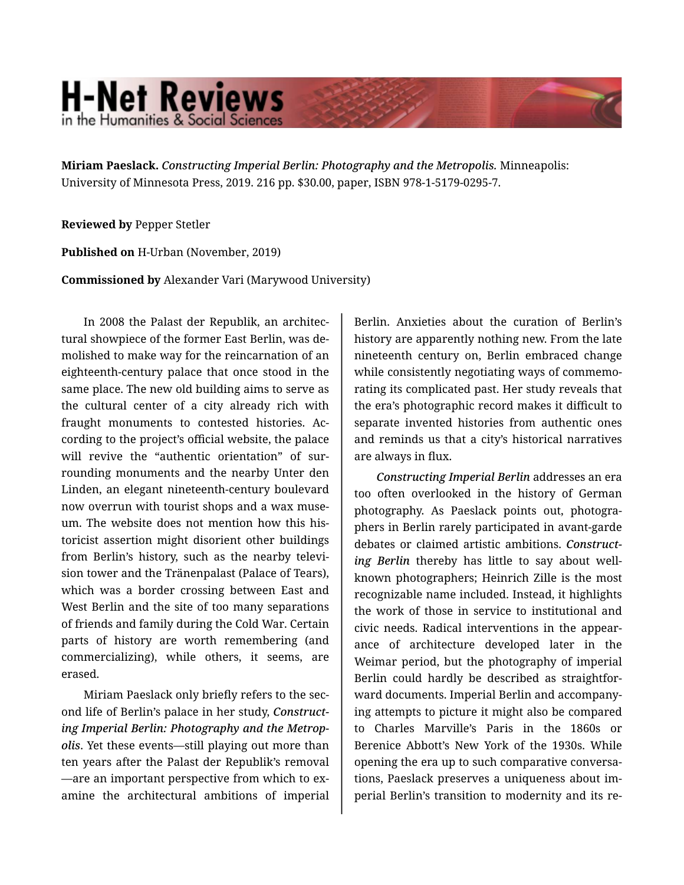## **H-Net Reviews** in the Humanities & Social Scienc

**Miriam Paeslack.** *Constructing Imperial Berlin: Photography and the Metropolis.* Minneapolis: University of Minnesota Press, 2019. 216 pp. \$30.00, paper, ISBN 978-1-5179-0295-7.

**Reviewed by** Pepper Stetler

**Published on** H-Urban (November, 2019)

**Commissioned by** Alexander Vari (Marywood University)

In 2008 the Palast der Republik, an architec‐ tural showpiece of the former East Berlin, was de‐ molished to make way for the reincarnation of an eighteenth-century palace that once stood in the same place. The new old building aims to serve as the cultural center of a city already rich with fraught monuments to contested histories. Ac‐ cording to the project's official website, the palace will revive the "authentic orientation" of surrounding monuments and the nearby Unter den Linden, an elegant nineteenth-century boulevard now overrun with tourist shops and a wax muse‐ um. The website does not mention how this his‐ toricist assertion might disorient other buildings from Berlin's history, such as the nearby televi‐ sion tower and the Tränenpalast (Palace of Tears), which was a border crossing between East and West Berlin and the site of too many separations of friends and family during the Cold War. Certain parts of history are worth remembering (and commercializing), while others, it seems, are erased.

Miriam Paeslack only briefly refers to the sec‐ ond life of Berlin's palace in her study, *Construct‐ ing Imperial Berlin: Photography and the Metrop‐ olis*. Yet these events—still playing out more than ten years after the Palast der Republik's removal —are an important perspective from which to ex‐ amine the architectural ambitions of imperial

Berlin. Anxieties about the curation of Berlin's history are apparently nothing new. From the late nineteenth century on, Berlin embraced change while consistently negotiating ways of commemorating its complicated past. Her study reveals that the era's photographic record makes it difficult to separate invented histories from authentic ones and reminds us that a city's historical narratives are always in flux.

*Constructing Imperial Berlin* addresses an era too often overlooked in the history of German photography. As Paeslack points out, photogra‐ phers in Berlin rarely participated in avant-garde debates or claimed artistic ambitions. *Construct‐ ing Berlin* thereby has little to say about wellknown photographers; Heinrich Zille is the most recognizable name included. Instead, it highlights the work of those in service to institutional and civic needs. Radical interventions in the appear‐ ance of architecture developed later in the Weimar period, but the photography of imperial Berlin could hardly be described as straightfor‐ ward documents. Imperial Berlin and accompany‐ ing attempts to picture it might also be compared to Charles Marville's Paris in the 1860s or Berenice Abbott's New York of the 1930s. While opening the era up to such comparative conversa‐ tions, Paeslack preserves a uniqueness about im‐ perial Berlin's transition to modernity and its re‐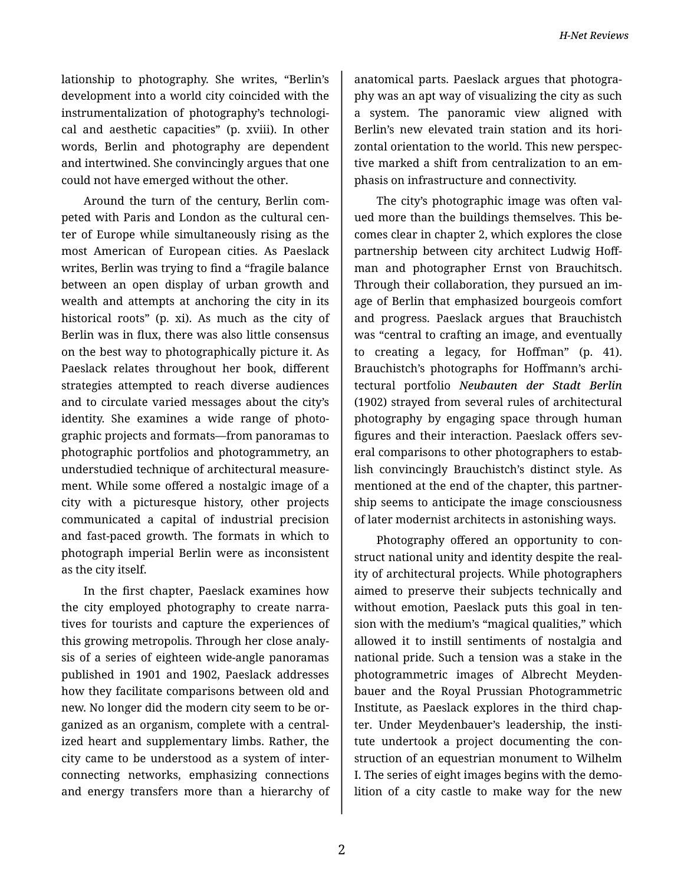lationship to photography. She writes, "Berlin's development into a world city coincided with the instrumentalization of photography's technologi‐ cal and aesthetic capacities" (p. xviii). In other words, Berlin and photography are dependent and intertwined. She convincingly argues that one could not have emerged without the other.

Around the turn of the century, Berlin com‐ peted with Paris and London as the cultural cen‐ ter of Europe while simultaneously rising as the most American of European cities. As Paeslack writes, Berlin was trying to find a "fragile balance between an open display of urban growth and wealth and attempts at anchoring the city in its historical roots" (p. xi). As much as the city of Berlin was in flux, there was also little consensus on the best way to photographically picture it. As Paeslack relates throughout her book, different strategies attempted to reach diverse audiences and to circulate varied messages about the city's identity. She examines a wide range of photographic projects and formats—from panoramas to photographic portfolios and photogrammetry, an understudied technique of architectural measure‐ ment. While some offered a nostalgic image of a city with a picturesque history, other projects communicated a capital of industrial precision and fast-paced growth. The formats in which to photograph imperial Berlin were as inconsistent as the city itself.

In the first chapter, Paeslack examines how the city employed photography to create narra‐ tives for tourists and capture the experiences of this growing metropolis. Through her close analy‐ sis of a series of eighteen wide-angle panoramas published in 1901 and 1902, Paeslack addresses how they facilitate comparisons between old and new. No longer did the modern city seem to be or‐ ganized as an organism, complete with a central‐ ized heart and supplementary limbs. Rather, the city came to be understood as a system of inter‐ connecting networks, emphasizing connections and energy transfers more than a hierarchy of

anatomical parts. Paeslack argues that photogra‐ phy was an apt way of visualizing the city as such a system. The panoramic view aligned with Berlin's new elevated train station and its hori‐ zontal orientation to the world. This new perspec‐ tive marked a shift from centralization to an em‐ phasis on infrastructure and connectivity.

The city's photographic image was often val‐ ued more than the buildings themselves. This be‐ comes clear in chapter 2, which explores the close partnership between city architect Ludwig Hoff‐ man and photographer Ernst von Brauchitsch. Through their collaboration, they pursued an im‐ age of Berlin that emphasized bourgeois comfort and progress. Paeslack argues that Brauchistch was "central to crafting an image, and eventually to creating a legacy, for Hoffman" (p. 41). Brauchistch's photographs for Hoffmann's archi‐ tectural portfolio *Neubauten der Stadt Berlin* (1902) strayed from several rules of architectural photography by engaging space through human figures and their interaction. Paeslack offers several comparisons to other photographers to estab‐ lish convincingly Brauchistch's distinct style. As mentioned at the end of the chapter, this partner‐ ship seems to anticipate the image consciousness of later modernist architects in astonishing ways.

Photography offered an opportunity to con‐ struct national unity and identity despite the real‐ ity of architectural projects. While photographers aimed to preserve their subjects technically and without emotion, Paeslack puts this goal in tension with the medium's "magical qualities," which allowed it to instill sentiments of nostalgia and national pride. Such a tension was a stake in the photogrammetric images of Albrecht Meyden‐ bauer and the Royal Prussian Photogrammetric Institute, as Paeslack explores in the third chap‐ ter. Under Meydenbauer's leadership, the institute undertook a project documenting the con‐ struction of an equestrian monument to Wilhelm I. The series of eight images begins with the demo‐ lition of a city castle to make way for the new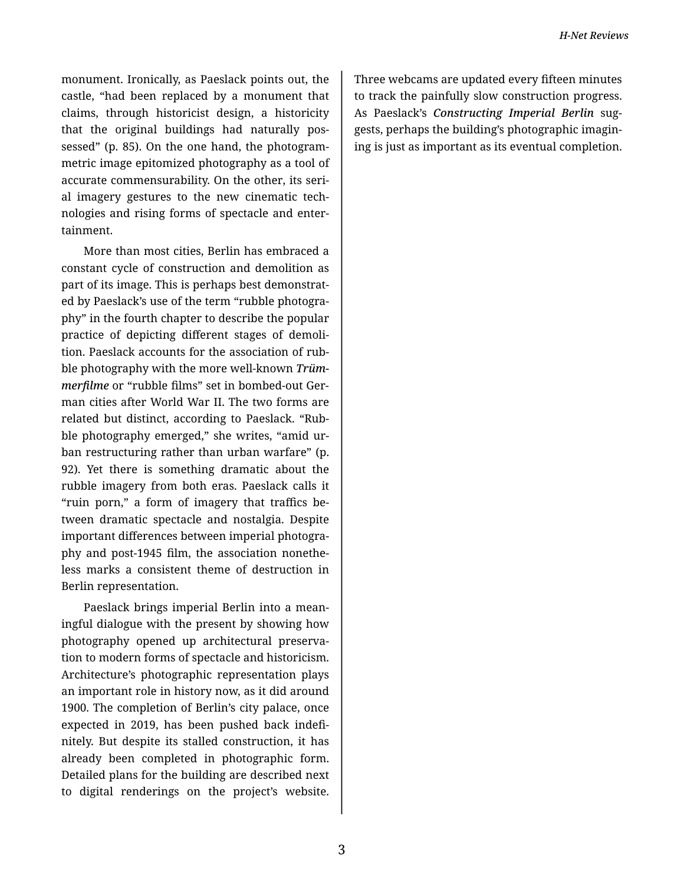monument. Ironically, as Paeslack points out, the castle, "had been replaced by a monument that claims, through historicist design, a historicity that the original buildings had naturally pos‐ sessed" (p. 85). On the one hand, the photogrammetric image epitomized photography as a tool of accurate commensurability. On the other, its seri‐ al imagery gestures to the new cinematic tech‐ nologies and rising forms of spectacle and enter‐ tainment.

More than most cities, Berlin has embraced a constant cycle of construction and demolition as part of its image. This is perhaps best demonstrat‐ ed by Paeslack's use of the term "rubble photogra‐ phy" in the fourth chapter to describe the popular practice of depicting different stages of demoli‐ tion. Paeslack accounts for the association of rub‐ ble photography with the more well-known *Trüm‐ merfilme* or "rubble films" set in bombed-out Ger‐ man cities after World War II. The two forms are related but distinct, according to Paeslack. "Rub‐ ble photography emerged," she writes, "amid ur‐ ban restructuring rather than urban warfare" (p. 92). Yet there is something dramatic about the rubble imagery from both eras. Paeslack calls it "ruin porn," a form of imagery that traffics be‐ tween dramatic spectacle and nostalgia. Despite important differences between imperial photogra‐ phy and post-1945 film, the association nonethe‐ less marks a consistent theme of destruction in Berlin representation.

Paeslack brings imperial Berlin into a mean‐ ingful dialogue with the present by showing how photography opened up architectural preserva‐ tion to modern forms of spectacle and historicism. Architecture's photographic representation plays an important role in history now, as it did around 1900. The completion of Berlin's city palace, once expected in 2019, has been pushed back indefi‐ nitely. But despite its stalled construction, it has already been completed in photographic form. Detailed plans for the building are described next to digital renderings on the project's website.

Three webcams are updated every fifteen minutes to track the painfully slow construction progress. As Paeslack's *Constructing Imperial Berlin* sug‐ gests, perhaps the building's photographic imagin‐ ing is just as important as its eventual completion.